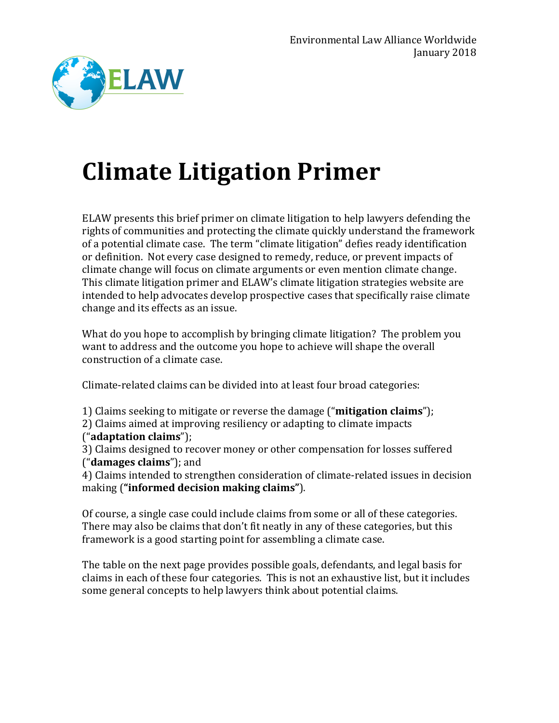

## **Climate Litigation Primer**

ELAW presents this brief primer on climate litigation to help lawyers defending the rights of communities and protecting the climate quickly understand the framework of a potential climate case. The term "climate litigation" defies ready identification or definition. Not every case designed to remedy, reduce, or prevent impacts of climate change will focus on climate arguments or even mention climate change. This climate litigation primer and ELAW's climate litigation strategies website are intended to help advocates develop prospective cases that specifically raise climate change and its effects as an issue.

What do you hope to accomplish by bringing climate litigation? The problem you want to address and the outcome you hope to achieve will shape the overall construction of a climate case.

Climate-related claims can be divided into at least four broad categories:

1) Claims seeking to mitigate or reverse the damage ("**mitigation claims**"); 2) Claims aimed at improving resiliency or adapting to climate impacts ("**adaptation claims**");

3) Claims designed to recover money or other compensation for losses suffered ("**damages claims**"); and

4) Claims intended to strengthen consideration of climate-related issues in decision making (**"informed decision making claims"**).

Of course, a single case could include claims from some or all of these categories. There may also be claims that don't fit neatly in any of these categories, but this framework is a good starting point for assembling a climate case.

The table on the next page provides possible goals, defendants, and legal basis for claims in each of these four categories. This is not an exhaustive list, but it includes some general concepts to help lawyers think about potential claims.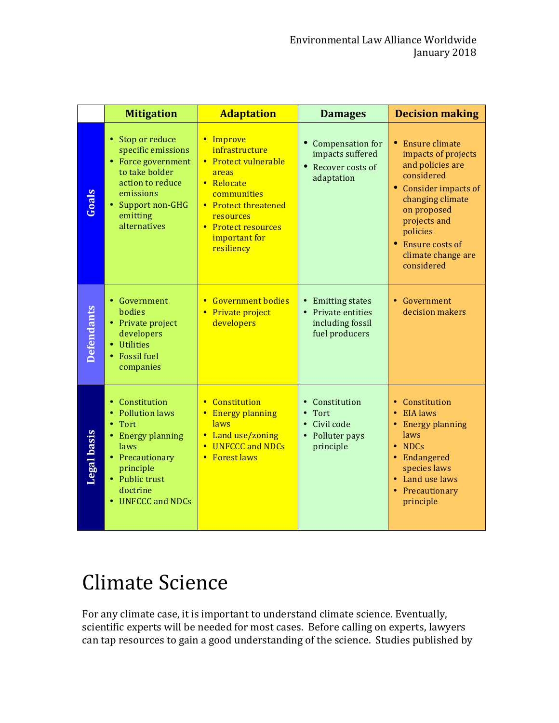|                    | <b>Mitigation</b>                                                                                                                                                                                   | <b>Adaptation</b>                                                                                                                                                                               | <b>Damages</b>                                                                | <b>Decision making</b>                                                                                                                                                                                                   |
|--------------------|-----------------------------------------------------------------------------------------------------------------------------------------------------------------------------------------------------|-------------------------------------------------------------------------------------------------------------------------------------------------------------------------------------------------|-------------------------------------------------------------------------------|--------------------------------------------------------------------------------------------------------------------------------------------------------------------------------------------------------------------------|
| <b>Goals</b>       | • Stop or reduce<br>specific emissions<br>• Force government<br>to take bolder<br>action to reduce<br>emissions<br>• Support non-GHG<br>emitting<br>alternatives                                    | Improve<br>$\bullet$<br>infrastructure<br>• Protect vulnerable<br>areas<br>• Relocate<br>communities<br>• Protect threatened<br>resources<br>• Protect resources<br>important for<br>resiliency | Compensation for<br>impacts suffered<br>Recover costs of<br>adaptation        | Ensure climate<br>impacts of projects<br>and policies are<br>considered<br>• Consider impacts of<br>changing climate<br>on proposed<br>projects and<br>policies<br>• Ensure costs of<br>climate change are<br>considered |
| <b>Defendants</b>  | • Government<br><b>hodies</b><br>• Private project<br>developers<br>• Utilities<br><b>Fossil</b> fuel<br>companies                                                                                  | <b>Government bodies</b><br>$\bullet$<br>Private project<br>developers                                                                                                                          | • Emitting states<br>Private entities<br>including fossil<br>fuel producers   | • Government<br>decision makers                                                                                                                                                                                          |
| <b>Legal basis</b> | • Constitution<br><b>Pollution laws</b><br>$\bullet$<br>Tort<br>$\bullet$<br><b>Energy planning</b><br>laws<br>• Precautionary<br>principle<br>• Public trust<br>doctrine<br><b>UNFCCC and NDCs</b> | Constitution<br>$\bullet$<br><b>Energy planning</b><br>$\bullet$<br>laws<br>Land use/zoning<br>$\bullet$<br><b>UNFCCC and NDCs</b><br>$\bullet$<br><b>Forest laws</b><br>$\bullet$              | Constitution<br>Tort<br>$\bullet$<br>Civil code<br>Polluter pays<br>principle | • Constitution<br>• EIA laws<br>• Energy planning<br>laws<br>$\bullet$ NDCs<br>• Endangered<br>species laws<br>• Land use laws<br>• Precautionary<br>principle                                                           |

## Climate Science

For any climate case, it is important to understand climate science. Eventually, scientific experts will be needed for most cases. Before calling on experts, lawyers can tap resources to gain a good understanding of the science. Studies published by